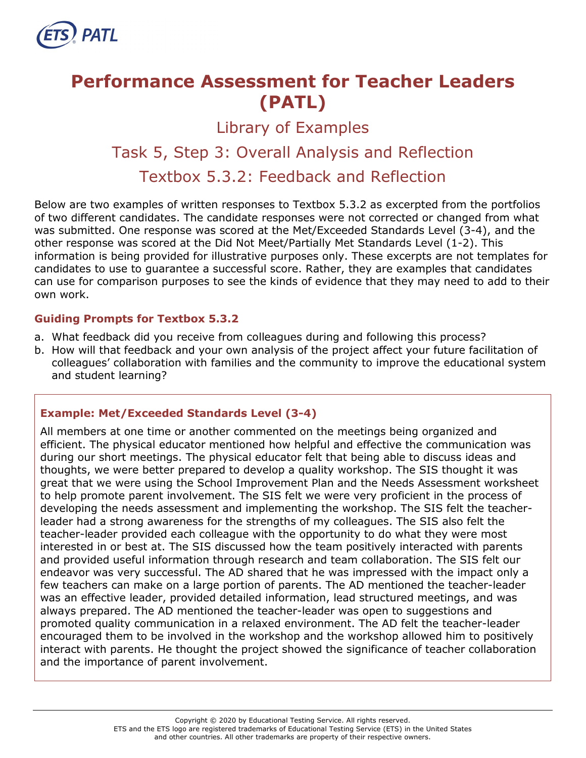

# **Performance Assessment for Teacher Leaders (PATL)**

Library of Examples

## Task 5, Step 3: Overall Analysis and Reflection Textbox 5.3.2: Feedback and Reflection

Below are two examples of written responses to Textbox 5.3.2 as excerpted from the portfolios of two different candidates. The candidate responses were not corrected or changed from what was submitted. One response was scored at the Met/Exceeded Standards Level (3-4), and the other response was scored at the Did Not Meet/Partially Met Standards Level (1-2). This information is being provided for illustrative purposes only. These excerpts are not templates for candidates to use to guarantee a successful score. Rather, they are examples that candidates can use for comparison purposes to see the kinds of evidence that they may need to add to their own work.

## **Guiding Prompts for Textbox 5.3.2**

- a. What feedback did you receive from colleagues during and following this process?
- b. How will that feedback and your own analysis of the project affect your future facilitation of colleagues' collaboration with families and the community to improve the educational system and student learning?

## **Example: Met/Exceeded Standards Level (3-4)**

All members at one time or another commented on the meetings being organized and efficient. The physical educator mentioned how helpful and effective the communication was during our short meetings. The physical educator felt that being able to discuss ideas and thoughts, we were better prepared to develop a quality workshop. The SIS thought it was great that we were using the School Improvement Plan and the Needs Assessment worksheet to help promote parent involvement. The SIS felt we were very proficient in the process of developing the needs assessment and implementing the workshop. The SIS felt the teacherleader had a strong awareness for the strengths of my colleagues. The SIS also felt the teacher-leader provided each colleague with the opportunity to do what they were most interested in or best at. The SIS discussed how the team positively interacted with parents and provided useful information through research and team collaboration. The SIS felt our endeavor was very successful. The AD shared that he was impressed with the impact only a few teachers can make on a large portion of parents. The AD mentioned the teacher-leader was an effective leader, provided detailed information, lead structured meetings, and was always prepared. The AD mentioned the teacher-leader was open to suggestions and promoted quality communication in a relaxed environment. The AD felt the teacher-leader encouraged them to be involved in the workshop and the workshop allowed him to positively interact with parents. He thought the project showed the significance of teacher collaboration and the importance of parent involvement.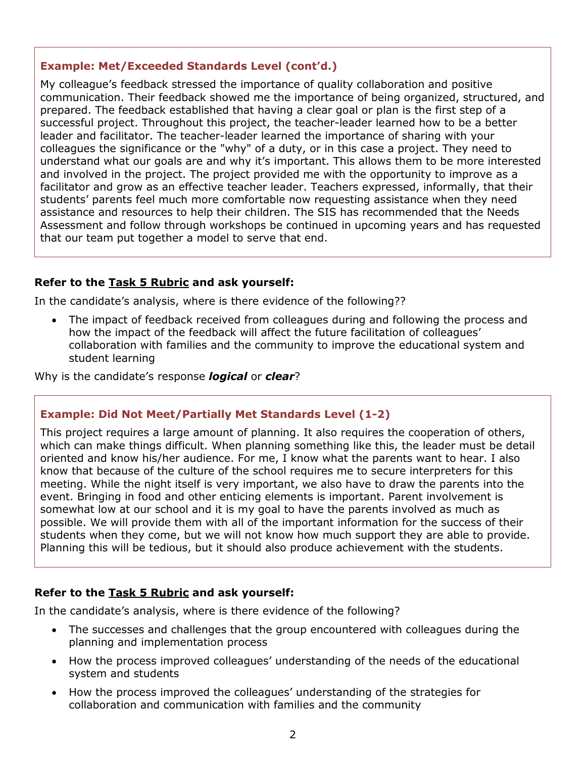## **Example: Met/Exceeded Standards Level (cont'd.)**

My colleague's feedback stressed the importance of quality collaboration and positive communication. Their feedback showed me the importance of being organized, structured, and prepared. The feedback established that having a clear goal or plan is the first step of a successful project. Throughout this project, the teacher-leader learned how to be a better leader and facilitator. The teacher-leader learned the importance of sharing with your colleagues the significance or the "why" of a duty, or in this case a project. They need to understand what our goals are and why it's important. This allows them to be more interested and involved in the project. The project provided me with the opportunity to improve as a facilitator and grow as an effective teacher leader. Teachers expressed, informally, that their students' parents feel much more comfortable now requesting assistance when they need assistance and resources to help their children. The SIS has recommended that the Needs Assessment and follow through workshops be continued in upcoming years and has requested that our team put together a model to serve that end.

## **Refer to the [Task 5](http://gace.ets.org/s/pdf/gace_teacher_leadership_assessment_task_5_rubric.pdf) Rubric and ask yourself:**

In the candidate's analysis, where is there evidence of the following??

• The impact of feedback received from colleagues during and following the process and how the impact of the feedback will affect the future facilitation of colleagues' collaboration with families and the community to improve the educational system and student learning

Why is the candidate's response *logical* or *clear*?

### **Example: Did Not Meet/Partially Met Standards Level (1-2)**

This project requires a large amount of planning. It also requires the cooperation of others, which can make things difficult. When planning something like this, the leader must be detail oriented and know his/her audience. For me, I know what the parents want to hear. I also know that because of the culture of the school requires me to secure interpreters for this meeting. While the night itself is very important, we also have to draw the parents into the event. Bringing in food and other enticing elements is important. Parent involvement is somewhat low at our school and it is my goal to have the parents involved as much as possible. We will provide them with all of the important information for the success of their students when they come, but we will not know how much support they are able to provide. Planning this will be tedious, but it should also produce achievement with the students.

### **Refer to the [Task 5](http://gace.ets.org/s/pdf/gace_teacher_leadership_assessment_task_5_rubric.pdf) Rubric and ask yourself:**

In the candidate's analysis, where is there evidence of the following?

- The successes and challenges that the group encountered with colleagues during the planning and implementation process
- How the process improved colleagues' understanding of the needs of the educational system and students
- How the process improved the colleagues' understanding of the strategies for collaboration and communication with families and the community